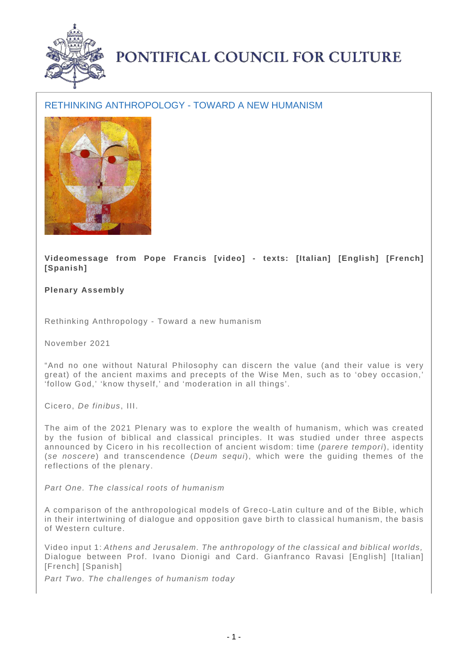

## PONTIFICAL COUNCIL FOR CULTURE

## RETHINKING ANTHROPOLOGY - TOWARD A NEW HUMANISM



**Videomessage from Pope Francis [video] - texts: [Italian] [English] [French] [Spanish]**

**Plenary Assembly**

Rethinking Anthropology - Toward a new humanism

November 2021

"And no one without Natural Philosophy can discern the value (and their value is very great) of the ancient maxims and precepts of the Wise Men, such as to 'obey occasion,' 'follow God,' 'know thyself,' and 'moderation in all things'.

Cicero, De finibus, III.

The aim of the 2021 Plenary was to explore the wealth of humanism, which was created by the fusion of biblical and classical principles. It was studied under three aspects announced by Cicero in his recollection of ancient wisdom: time (parere tempori), identity (se noscere) and transcendence (Deum sequi), which were the guiding themes of the reflections of the plenary.

Part One. The classical roots of humanism

A comparison of the anthropological models of Greco-Latin culture and of the Bible, which in their intertwining of dialogue and opposition gave birth to classical humanism, the basis of Western culture.

Video input 1: Athens and Jerusalem. The anthropology of the classical and biblical worlds, Dialogue between Prof. Ivano Dionigi and Card. Gianfranco Ravasi [English] [Italian] [French] [Spanish]

Part Two. The challenges of humanism today